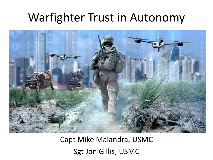### Warfighter Trust in Autonomy



Capt Mike Malandra, USMC Sgt Jon Gillis, USMC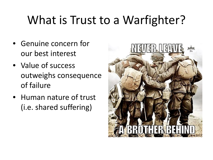# What is Trust to a Warfighter?

- Genuine concern for our best interest
- Value of success outweighs consequence of failure
- Human nature of trust (i.e. shared suffering)

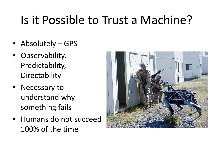# Is it Possible to Trust a Machine?

- Absolutely GPS
- Observability, Predictability, Directability
- Necessary to understand why something fails
- Humans do not succeed 100% of the time

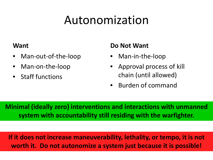## Autonomization

#### **Want**

- Man-out-of-the-loop
- Man-on-the-loop
- Staff functions

### **Do Not Want**

- Man-in-the-loop
- Approval process of kill chain (until allowed)
- Burden of command

**Minimal (ideally zero) interventions and interactions with unmanned system with accountability still residing with the warfighter.**

**If it does not increase maneuverability, lethality, or tempo, it is not worth it. Do not autonomize a system just because it is possible!**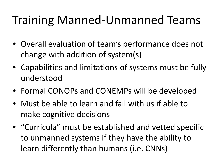## Training Manned-Unmanned Teams

- Overall evaluation of team's performance does not change with addition of system(s)
- Capabilities and limitations of systems must be fully understood
- Formal CONOPs and CONEMPs will be developed
- Must be able to learn and fail with us if able to make cognitive decisions
- "Curricula" must be established and vetted specific to unmanned systems if they have the ability to learn differently than humans (i.e. CNNs)